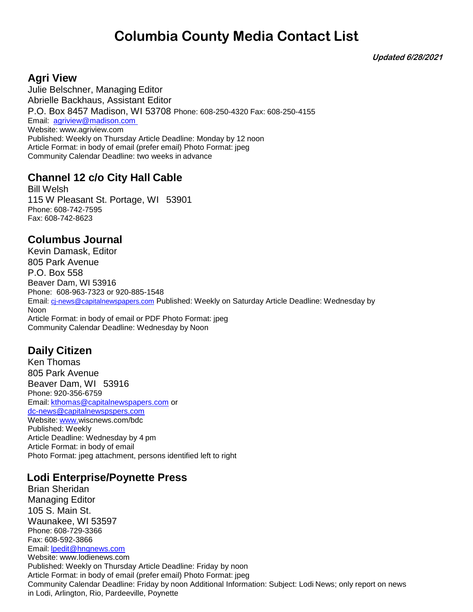**Updated 6/28/2021**

### **Agri View**

Julie Belschner, Managing Editor Abrielle Backhaus, Assistant Editor P.O. Box 8457 Madison, WI 53708 Phone: 608-250-4320 Fax: 608-250-4155 Email: [agriview@madison.com](mailto:agriview@madison.com)  Website: [www.agriview.com](http://www.agriview.com/) Published: Weekly on Thursday Article Deadline: Monday by 12 noon Article Format: in body of email (prefer email) Photo Format: jpeg Community Calendar Deadline: two weeks in advance

## **Channel 12 c/o City Hall Cable**

Bill Welsh 115 W Pleasant St. Portage, WI 53901 Phone: 608-742-7595 Fax: 608-742-8623

## **Columbus Journal**

Kevin Damask, Editor 805 Park Avenue P.O. Box 558 Beaver Dam, WI 53916 Phone: 608-963-7323 or 920-885-1548 Email: ci-news@capitalnewspapers.com Published: Weekly on Saturday Article Deadline: Wednesday by Noon Article Format: in body of email or PDF Photo Format: jpeg Community Calendar Deadline: Wednesday by Noon

## **Daily Citizen**

Ken Thomas 805 Park Avenue Beaver Dam, WI 53916 Phone: 920-356-6759 Email: [kthomas@capitalnewspapers.com](mailto:kthomas@capitalnewspapers.com) or <dc-news@capitalnewspspers.com> Website: [www.w](http://www./)iscnews.com/bdc Published: Weekly Article Deadline: Wednesday by 4 pm Article Format: in body of email Photo Format: jpeg attachment, persons identified left to right

## **Lodi Enterprise/Poynette Press**

Brian Sheridan Managing Editor 105 S. Main St. Waunakee, WI 53597 Phone: 608-729-3366 Fax: 608-592-3866 Email: [lpedit@hngnews.com](mailto:lpedit@hngnews.com) Website: [www.lodienews.com](http://www.lodienews.com/) Published: Weekly on Thursday Article Deadline: Friday by noon Article Format: in body of email (prefer email) Photo Format: jpeg Community Calendar Deadline: Friday by noon Additional Information: Subject: Lodi News; only report on news in Lodi, Arlington, Rio, Pardeeville, Poynette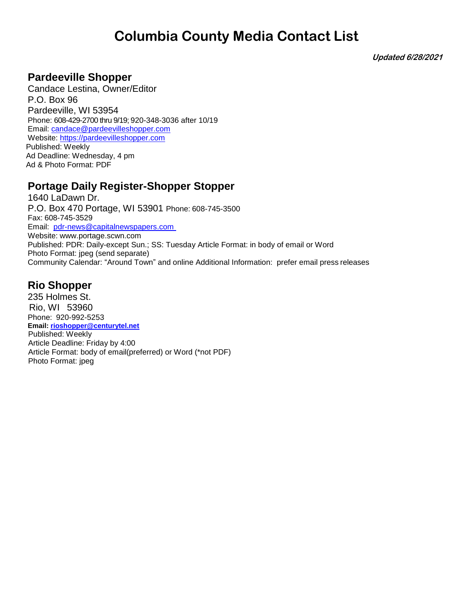**Updated 6/28/2021**

### **Pardeeville Shopper**

Candace Lestina, Owner/Editor P.O. Box 96 Pardeeville, WI 53954 Phone: 608-429-2700 thru 9/19; 920-348-3036 after 10/19 Email: [candace@pardeevilleshopper.com](mailto:candace@pardeevilleshopper.com) Website: [https://pardeevilleshopper.com](https://pardeevilleshopper.com/) Published: Weekly Ad Deadline: Wednesday, 4 pm Ad & Photo Format: PDF

## **Portage Daily Register-Shopper Stopper**

1640 LaDawn Dr. P.O. Box 470 Portage, WI 53901 Phone: 608-745-3500 Fax: 608-745-3529 Email: [pdr-news@capitalnewspapers.com](mailto:pdr-news@capitalnewspapers.com)  Website: [www.portage.scwn.com](http://www.portage.scwn.com/) Published: PDR: Daily-except Sun.; SS: Tuesday Article Format: in body of email or Word Photo Format: jpeg (send separate) Community Calendar: "Around Town" and online Additional Information: prefer email press releases

## **Rio Shopper**

235 Holmes St. Rio, WI 53960 Phone: 920-992-5253  **Email[: rioshopper@centurytel.net](mailto:rioshopper@centurytel.net)** Published: Weekly Article Deadline: Friday by 4:00 Article Format: body of email(preferred) or Word (\*not PDF) Photo Format: jpeg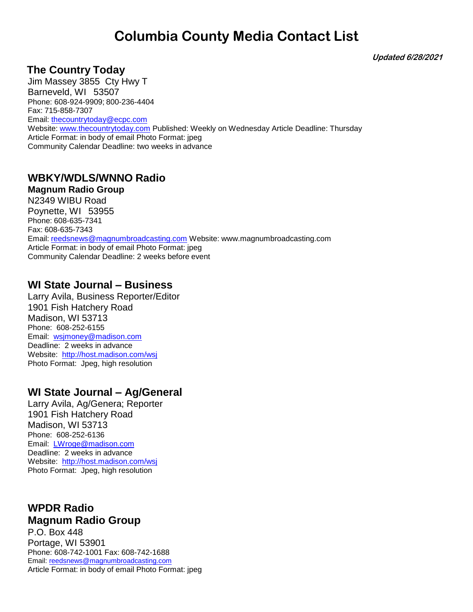**Updated 6/28/2021**

### **The Country Today**

Jim Massey 3855 Cty Hwy T Barneveld, WI 53507 Phone: 608-924-9909; 800-236-4404 Fax: 715-858-7307 Email:<thecountrytoday@ecpc.com> Website: [www.thecountrytoday.com](http://www.thecountrytoday.com/) Published: Weekly on Wednesday Article Deadline: Thursday Article Format: in body of email Photo Format: jpeg Community Calendar Deadline: two weeks in advance

## **WBKY/WDLS/WNNO Radio**

**Magnum Radio Group** N2349 WIBU Road Poynette, WI 53955 Phone: 608-635-7341 Fax: 608-635-7343 Email: [reedsnews@magnumbroadcasting.com](mailto:reedsnews@magnumbroadcasting.com) Website: [www.magnumbroadcasting.com](http://www.magnumbroadcasting.com/) Article Format: in body of email Photo Format: jpeg Community Calendar Deadline: 2 weeks before event

### **WI State Journal – Business**

Larry Avila, Business Reporter/Editor 1901 Fish Hatchery Road Madison, WI 53713 Phone: 608-252-6155 Email: [wsjmoney@madison.com](mailto:wsjmoney@madison.com) Deadline: 2 weeks in advance Website: <http://host.madison.com/wsj> Photo Format: Jpeg, high resolution

## **WI State Journal – Ag/General**

Larry Avila, Ag/Genera; Reporter 1901 Fish Hatchery Road Madison, WI 53713 Phone: 608-252-6136 Email: [LWroge@madison.com](mailto:LWroge@madison.com) Deadline: 2 weeks in advance Website: <http://host.madison.com/wsj> Photo Format: Jpeg, high resolution

#### **WPDR Radio Magnum Radio Group**

P.O. Box 448 Portage, WI 53901 Phone: 608-742-1001 Fax: 608-742-1688 Email: reedsnews@magnumbroadcasting.com Article Format: in body of email Photo Format: jpeg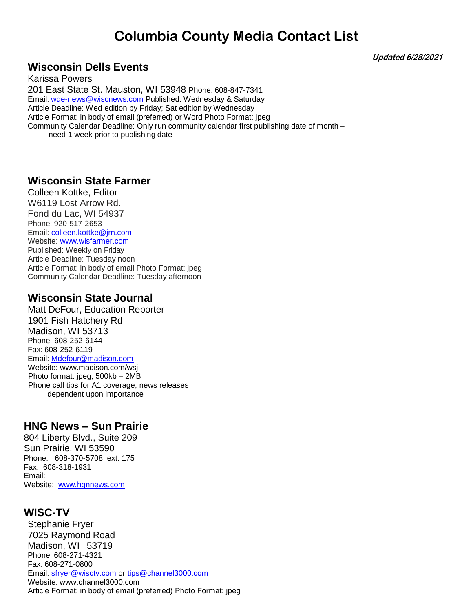**Updated 6/28/2021**

## **Wisconsin Dells Events**

Karissa Powers 201 East State St. Mauston, WI 53948 Phone: 608-847-7341 Email: [wde-news@wiscnews.com](mailto:wde-news@wiscnews.com) Published: Wednesday & Saturday Article Deadline: Wed edition by Friday; Sat edition by Wednesday Article Format: in body of email (preferred) or Word Photo Format: jpeg Community Calendar Deadline: Only run community calendar first publishing date of month – need 1 week prior to publishing date

#### **Wisconsin State Farmer**

Colleen Kottke, Editor W6119 Lost Arrow Rd. Fond du Lac, WI 54937 Phone: 920-517-2653 Email: [colleen.kottke@jrn.com](mailto:colleen.kottke@jrn.com) Website: [www.wisfarmer.com](http://www.wisfarmer.com/) Published: Weekly on Friday Article Deadline: Tuesday noon Article Format: in body of email Photo Format: jpeg Community Calendar Deadline: Tuesday afternoon

### **Wisconsin State Journal**

Matt DeFour, Education Reporter 1901 Fish Hatchery Rd Madison, WI 53713 Phone: 608-252-6144 Fax: 608-252-6119 Email: [Mdefour@madison.com](mailto:Mdefour@madison.com) Website: www.madison.com/wsj Photo format: jpeg, 500kb – 2MB Phone call tips for A1 coverage, news releases dependent upon importance

## **HNG News – Sun Prairie**

804 Liberty Blvd., Suite 209 Sun Prairie, WI 53590 Phone: 608-370-5708, ext. 175 Fax: 608-318-1931 Email: Website: [www.hgnnews.com](http://www.hgnnews.com/)

## **WISC-TV**

Stephanie Fryer 7025 Raymond Road Madison, WI 53719 Phone: 608-271-4321 Fax: 608-271-0800 Email: [sfryer@wisctv.com](mailto:sfryer@wisctv.com) or [tips@channel3000.com](mailto:tips@channel3000.com) Website: [www.channel3000.com](http://www.channel3000.com/) Article Format: in body of email (preferred) Photo Format: jpeg